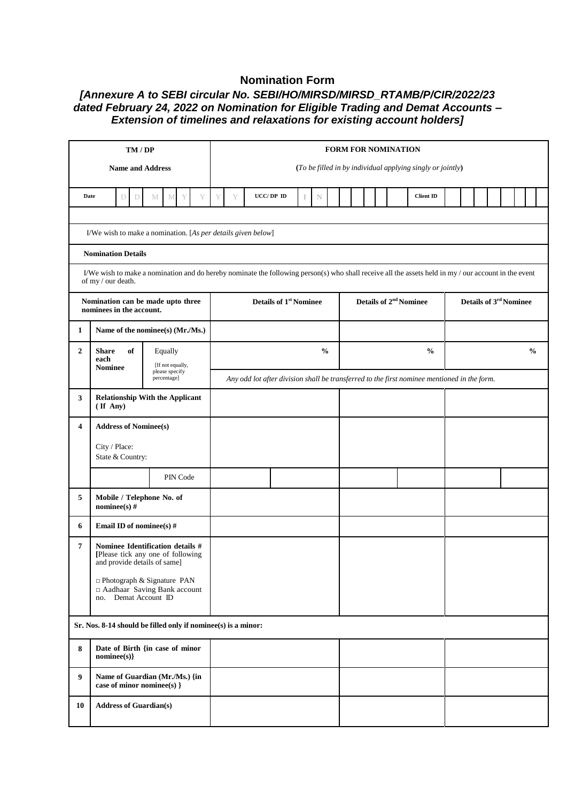## **Nomination Form**

## *[Annexure A to SEBI circular No. SEBI/HO/MIRSD/MIRSD\_RTAMB/P/CIR/2022/23 dated February 24, 2022 on Nomination for Eligible Trading and Demat Accounts – Extension of timelines and relaxations for existing account holders]*

| TM/DP                                                                                                      |                                                                                                                                                                            |  |          |                                                                                             | <b>FORM FOR NOMINATION</b>                                 |   |  |           |                                    |   |               |  |  |  |                                    |                  |               |  |  |  |  |  |  |  |  |
|------------------------------------------------------------------------------------------------------------|----------------------------------------------------------------------------------------------------------------------------------------------------------------------------|--|----------|---------------------------------------------------------------------------------------------|------------------------------------------------------------|---|--|-----------|------------------------------------|---|---------------|--|--|--|------------------------------------|------------------|---------------|--|--|--|--|--|--|--|--|
| <b>Name and Address</b>                                                                                    |                                                                                                                                                                            |  |          |                                                                                             | (To be filled in by individual applying singly or jointly) |   |  |           |                                    |   |               |  |  |  |                                    |                  |               |  |  |  |  |  |  |  |  |
| Date<br>Y<br>D<br>D<br>M<br>М                                                                              |                                                                                                                                                                            |  |          |                                                                                             | Y                                                          | Y |  | UCC/DP ID |                                    | N |               |  |  |  |                                    | <b>Client ID</b> |               |  |  |  |  |  |  |  |  |
|                                                                                                            | I/We wish to make a nomination. [As per details given below]                                                                                                               |  |          |                                                                                             |                                                            |   |  |           |                                    |   |               |  |  |  |                                    |                  |               |  |  |  |  |  |  |  |  |
|                                                                                                            | <b>Nomination Details</b>                                                                                                                                                  |  |          |                                                                                             |                                                            |   |  |           |                                    |   |               |  |  |  |                                    |                  |               |  |  |  |  |  |  |  |  |
|                                                                                                            | I/We wish to make a nomination and do hereby nominate the following person(s) who shall receive all the assets held in my / our account in the event<br>of my / our death. |  |          |                                                                                             |                                                            |   |  |           |                                    |   |               |  |  |  |                                    |                  |               |  |  |  |  |  |  |  |  |
| Nomination can be made upto three<br>nominees in the account.                                              |                                                                                                                                                                            |  |          | <b>Details of 1st Nominee</b>                                                               |                                                            |   |  |           | Details of 2 <sup>nd</sup> Nominee |   |               |  |  |  | Details of 3 <sup>rd</sup> Nominee |                  |               |  |  |  |  |  |  |  |  |
| Name of the nominee(s) (Mr./Ms.)<br>1                                                                      |                                                                                                                                                                            |  |          |                                                                                             |                                                            |   |  |           |                                    |   |               |  |  |  |                                    |                  |               |  |  |  |  |  |  |  |  |
| $\overline{2}$                                                                                             | of<br><b>Share</b><br>Equally<br>each<br>[If not equally,                                                                                                                  |  |          |                                                                                             |                                                            |   |  |           | $\frac{0}{0}$                      |   | $\frac{0}{0}$ |  |  |  |                                    |                  | $\frac{6}{6}$ |  |  |  |  |  |  |  |  |
| <b>Nominee</b><br>please specify<br>percentage]                                                            |                                                                                                                                                                            |  |          | Any odd lot after division shall be transferred to the first nominee mentioned in the form. |                                                            |   |  |           |                                    |   |               |  |  |  |                                    |                  |               |  |  |  |  |  |  |  |  |
| <b>Relationship With the Applicant</b><br>3<br>$($ If Any $)$                                              |                                                                                                                                                                            |  |          |                                                                                             |                                                            |   |  |           |                                    |   |               |  |  |  |                                    |                  |               |  |  |  |  |  |  |  |  |
| 4                                                                                                          | <b>Address of Nominee(s)</b>                                                                                                                                               |  |          |                                                                                             |                                                            |   |  |           |                                    |   |               |  |  |  |                                    |                  |               |  |  |  |  |  |  |  |  |
|                                                                                                            | City / Place:<br>State & Country:                                                                                                                                          |  |          |                                                                                             |                                                            |   |  |           |                                    |   |               |  |  |  |                                    |                  |               |  |  |  |  |  |  |  |  |
|                                                                                                            |                                                                                                                                                                            |  | PIN Code |                                                                                             |                                                            |   |  |           |                                    |   |               |  |  |  |                                    |                  |               |  |  |  |  |  |  |  |  |
| 5                                                                                                          | Mobile / Telephone No. of<br>nominee(s) $#$                                                                                                                                |  |          |                                                                                             |                                                            |   |  |           |                                    |   |               |  |  |  |                                    |                  |               |  |  |  |  |  |  |  |  |
| 6                                                                                                          | Email ID of nominee(s) #                                                                                                                                                   |  |          |                                                                                             |                                                            |   |  |           |                                    |   |               |  |  |  |                                    |                  |               |  |  |  |  |  |  |  |  |
| Nominee Identification details #<br>7<br>[Please tick any one of following<br>and provide details of same] |                                                                                                                                                                            |  |          |                                                                                             |                                                            |   |  |           |                                    |   |               |  |  |  |                                    |                  |               |  |  |  |  |  |  |  |  |
| □ Photograph & Signature PAN<br>□ Aadhaar Saving Bank account<br>Demat Account ID<br>no.                   |                                                                                                                                                                            |  |          |                                                                                             |                                                            |   |  |           |                                    |   |               |  |  |  |                                    |                  |               |  |  |  |  |  |  |  |  |
|                                                                                                            | Sr. Nos. 8-14 should be filled only if nominee(s) is a minor:                                                                                                              |  |          |                                                                                             |                                                            |   |  |           |                                    |   |               |  |  |  |                                    |                  |               |  |  |  |  |  |  |  |  |
| Date of Birth {in case of minor<br>8<br>nominee(s)                                                         |                                                                                                                                                                            |  |          |                                                                                             |                                                            |   |  |           |                                    |   |               |  |  |  |                                    |                  |               |  |  |  |  |  |  |  |  |
| 9<br>Name of Guardian (Mr./Ms.) {in<br>case of minor nominee(s) }                                          |                                                                                                                                                                            |  |          |                                                                                             |                                                            |   |  |           |                                    |   |               |  |  |  |                                    |                  |               |  |  |  |  |  |  |  |  |
| <b>Address of Guardian(s)</b><br>10                                                                        |                                                                                                                                                                            |  |          |                                                                                             |                                                            |   |  |           |                                    |   |               |  |  |  |                                    |                  |               |  |  |  |  |  |  |  |  |